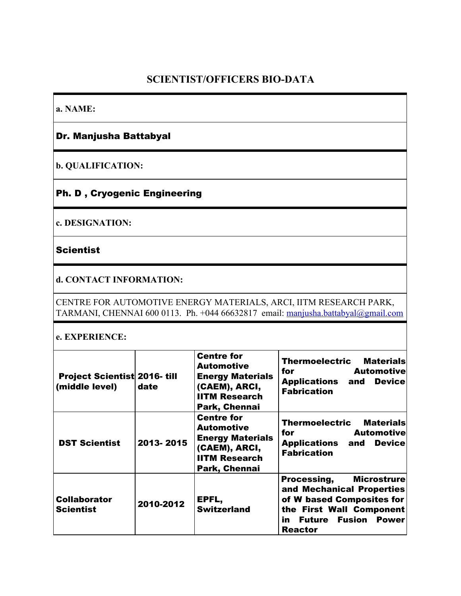# **SCIENTIST/OFFICERS BIO-DATA**

**a. NAME:**

### Dr. Manjusha Battabyal

**b. QUALIFICATION:**

# Ph. D , Cryogenic Engineering

**c. DESIGNATION:**

#### **Scientist**

**d. CONTACT INFORMATION:**

CENTRE FOR AUTOMOTIVE ENERGY MATERIALS, ARCI, IITM RESEARCH PARK, TARMANI, CHENNAI 600 0113. Ph. +044 66632817 email: [manjusha.battabyal@gmail.com](mailto:mohan@arci.res.in)

#### **e. EXPERIENCE:**

| <b>Project Scientist 2016-till</b><br>(middle level) | date      | <b>Centre for</b><br><b>Automotive</b><br><b>Energy Materials</b><br>(CAEM), ARCI,<br><b>IITM Research</b><br>Park, Chennai | <b>Thermoelectric Materials</b><br><b>Example 1 Automotive</b><br>for<br><b>Applications and</b><br><b>Device</b><br><b>Fabrication</b>                                          |
|------------------------------------------------------|-----------|-----------------------------------------------------------------------------------------------------------------------------|----------------------------------------------------------------------------------------------------------------------------------------------------------------------------------|
| <b>DST Scientist</b>                                 | 2013-2015 | <b>Centre for</b><br><b>Automotive</b><br><b>Energy Materials</b><br>(CAEM), ARCI,<br><b>IITM Research</b><br>Park, Chennai | <b>Thermoelectric Materials</b><br><b>Automotive</b><br>for<br><b>Applications and</b><br><b>Device</b><br><b>Fabrication</b>                                                    |
| <b>Collaborator</b><br><b>Scientist</b>              | 2010-2012 | EPFL,<br><b>Switzerland</b>                                                                                                 | <b>Microstrure</b><br>Processing,<br>and Mechanical Properties<br>of W based Composites for<br>the First Wall Component<br><b>Fusion Power</b><br>in<br>Future<br><b>Reactor</b> |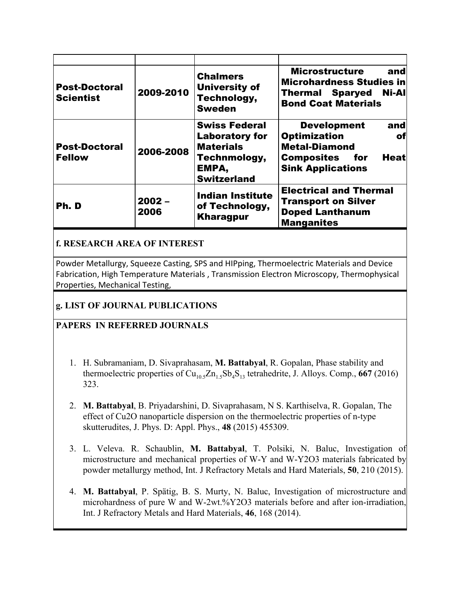| <b>Post-Doctoral</b><br><b>Scientist</b> | 2009-2010        | <b>Chalmers</b><br><b>University of</b><br>Technology,<br><b>Sweden</b>                                          | <b>Microstructure</b><br>and<br>Microhardness Studies in<br><b>Thermal Sparyed Ni-All</b><br><b>Bond Coat Materials</b>                           |
|------------------------------------------|------------------|------------------------------------------------------------------------------------------------------------------|---------------------------------------------------------------------------------------------------------------------------------------------------|
| <b>Post-Doctoral</b><br><b>Fellow</b>    | 2006-2008        | <b>Swiss Federal</b><br><b>Laboratory for</b><br><b>Materials</b><br>Technmology,<br>EMPA,<br><b>Switzerland</b> | <b>Development</b><br>and<br><b>Optimization</b><br>of<br><b>Metal-Diamond</b><br>Composites<br>Heatl<br>for <b>f</b><br><b>Sink Applications</b> |
| Ph.D                                     | $2002 -$<br>2006 | <b>Indian Institute</b><br>of Technology,<br><b>Kharagpur</b>                                                    | <b>Electrical and Thermal</b><br><b>Transport on Silver</b><br><b>Doped Lanthanum</b><br><b>Manganites</b>                                        |

## **f. RESEARCH AREA OF INTEREST**

Powder Metallurgy, Squeeze Casting, SPS and HIPping, Thermoelectric Materials and Device Fabrication, High Temperature Materials , Transmission Electron Microscopy, Thermophysical Properties, Mechanical Testing,

### **g. LIST OF JOURNAL PUBLICATIONS**

### **PAPERS IN REFERRED JOURNALS**

- 1. H. Subramaniam, D. Sivaprahasam, **M. Battabyal**, R. Gopalan, Phase stability and thermoelectric properties of  $Cu_{10.5}Zn_{1.5}Sb_4S_{13}$  tetrahedrite, J. Alloys. Comp., **667** (2016) 323.
- 2. **M. Battabyal**, B. Priyadarshini, D. Sivaprahasam, N S. Karthiselva, R. Gopalan, The effect of Cu2O nanoparticle dispersion on the thermoelectric properties of n-type skutterudites, J. Phys. D: Appl. Phys., **48**(2015) 455309.
- 3. L. Veleva. R. Schaublin, **M. Battabyal**, T. Polsiki, N. Baluc, Investigation of microstructure and mechanical properties of W-Y and W-Y2O3 materials fabricated by powder metallurgy method, Int. J Refractory Metals and Hard Materials, **50**, 210 (2015).
- 4. **M. Battabyal**, P. Spätig, B. S. Murty, N. Baluc, Investigation of microstructure and microhardness of pure W and W-2wt.%Y2O3 materials before and after ion-irradiation, Int. J Refractory Metals and Hard Materials, **46**, 168 (2014).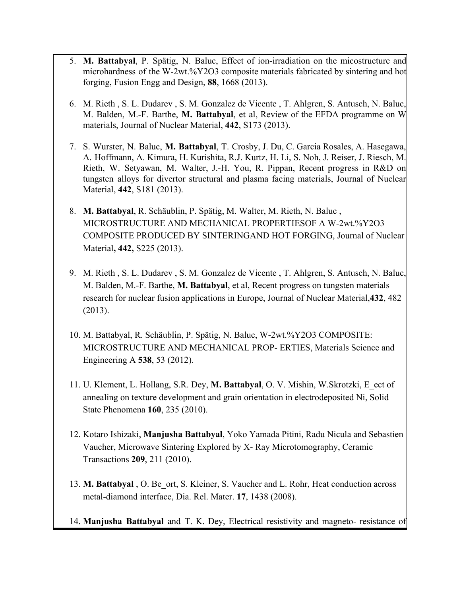- 5. **M. Battabyal**, P. Spätig, N. Baluc, Effect of ion-irradiation on the micostructure and microhardness of the W-2wt.%Y2O3 composite materials fabricated by sintering and hot forging, Fusion Engg and Design, **88**, 1668 (2013).
- 6. M. Rieth , S. L. Dudarev , S. M. Gonzalez de Vicente , T. Ahlgren, S. Antusch, N. Baluc, M. Balden, M.F. Barthe, **M. Battabyal**, et al, Review of the EFDA programme on W materials, Journal of Nuclear Material, **442**, S173 (2013).
- 7. S. Wurster, N. Baluc, **M. Battabyal**, T. Crosby, J. Du, C. Garcia Rosales, A. Hasegawa, A. Hoffmann, A. Kimura, H. Kurishita, R.J. Kurtz, H. Li, S. Noh, J. Reiser, J. Riesch, M. Rieth, W. Setyawan, M. Walter, J.H. You, R. Pippan, Recent progress in R&D on tungsten alloys for divertor structural and plasma facing materials, Journal of Nuclear Material, **442**, S181 (2013).
- 8. **M. Battabyal**, R. Schäublin, P. Spätig, M. Walter, M. Rieth, N. Baluc , MICROSTRUCTURE AND MECHANICAL PROPERTIESOF A W-2wt.%Y2O3 COMPOSITE PRODUCED BY SINTERINGAND HOT FORGING, Journal of Nuclear Material**, 442,**S225 (2013).
- 9. M. Rieth , S. L. Dudarev , S. M. Gonzalez de Vicente , T. Ahlgren, S. Antusch, N. Baluc, M. Balden, M.F. Barthe, **M. Battabyal**, et al, Recent progress on tungsten materials research for nuclear fusion applications in Europe, Journal of Nuclear Material,**432**, 482 (2013).
- 10. M. Battabyal, R. Schäublin, P. Spätig, N. Baluc, W-2wt.%Y2O3 COMPOSITE: MICROSTRUCTURE AND MECHANICAL PROP- ERTIES, Materials Science and Engineering A **538**, 53 (2012).
- 11. U. Klement, L. Hollang, S.R. Dey, **M. Battabyal**, O. V. Mishin, W.Skrotzki, E\_ect of annealing on texture development and grain orientation in electrodeposited Ni, Solid State Phenomena **160**, 235 (2010).
- 12. Kotaro Ishizaki, **Manjusha Battabyal**, Yoko Yamada Pitini, Radu Nicula and Sebastien Vaucher, Microwave Sintering Explored by X- Ray Microtomography, Ceramic Transactions **209**, 211 (2010).
- 13. **M. Battabyal**, O. Be\_ort, S. Kleiner, S. Vaucher and L. Rohr, Heat conduction across metal-diamond interface, Dia. Rel. Mater. 17, 1438 (2008).
- 14. Manjusha Battabyal and T. K. Dey, Electrical resistivity and magneto- resistance of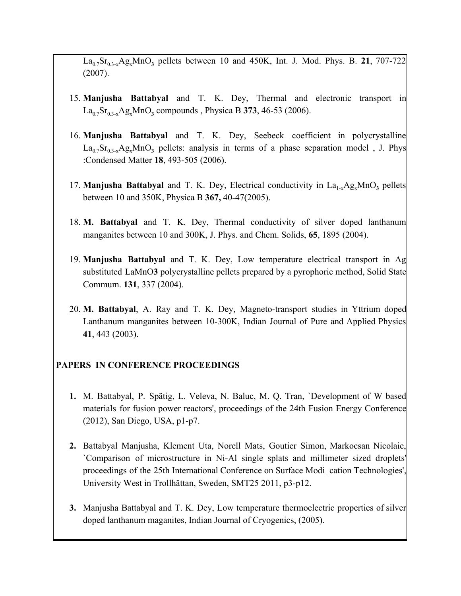$La_{0.7}Sr_{0.3-x}Ag_xMnO_3$  pellets between 10 and 450K, Int. J. Mod. Phys. B. 21, 707-722 (2007).

- 15. **Manjusha Battabyal** and T. K. Dey, Thermal and electronic transport in  $La_{0.7}Sr_{0.3-x}Ag_xMnO_3$  compounds , Physica B 373, 46-53 (2006).
- 16. **Manjusha Battabyal** and T. K. Dey, Seebeck coefficient in polycrystalline  $La_{0.7}Sr_{0.3-x}Ag_xMnO_3$  pellets: analysis in terms of a phase separation model, J. Phys :Condensed Matter 18, 493-505 (2006).
- 17. **Manjusha Battabyal** and T. K. Dey, Electrical conductivity in  $La_{1-x}Ag_xMnO_3$  pellets between 10 and 350K, Physica B **367,**4047(2005).
- 18. **M. Battabyal** and T. K. Dey, Thermal conductivity of silver doped lanthanum manganites between 10 and 300K, J. Phys. and Chem. Solids, **65**, 1895 (2004).
- 19. **Manjusha Battabyal** and T. K. Dey, Low temperature electrical transport in Ag substituted LaMnO**3** polycrystalline pellets prepared by a pyrophoric method, Solid State Commum. **131**, 337 (2004).
- 20. M. Battabyal, A. Ray and T. K. Dey, Magneto-transport studies in Yttrium doped Lanthanum manganites between 10-300K, Indian Journal of Pure and Applied Physics **41**, 443 (2003).

#### **PAPERS IN CONFERENCE PROCEEDINGS**

- **1.** M. Battabyal, P. Spätig, L. Veleva, N. Baluc, M. Q. Tran, `Development of W based materials for fusion power reactors', proceedings of the 24th Fusion Energy Conference  $(2012)$ , San Diego, USA, p1-p7.
- **2.** Battabyal Manjusha, Klement Uta, Norell Mats, Goutier Simon, Markocsan Nicolaie, `Comparison of microstructure in NiAl single splats and millimeter sized droplets' proceedings of the 25th International Conference on Surface Modi\_cation Technologies', University West in Trollhättan, Sweden, SMT25 2011, p3-p12.
- **3.** Manjusha Battabyal and T. K. Dey, Low temperature thermoelectric properties of silver doped lanthanum maganites, Indian Journal of Cryogenics, (2005).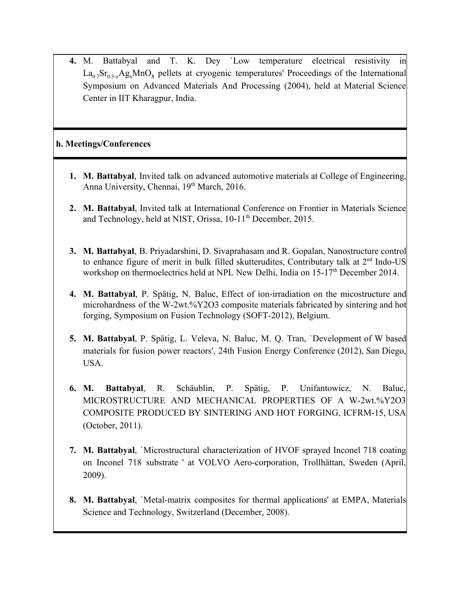**4.** M. Battabyal and T. K. Dey `Low temperature electrical resistivity in  $La_{0.7}Sr_{0.3-x}Ag_xMnO_3$  pellets at cryogenic temperatures' Proceedings of the International Symposium on Advanced Materials And Processing (2004), held at Material Science Center in IIT Kharagpur, India.

#### **h. Meetings/Conferences**

- **1. M. Battabyal**, Invited talk on advanced automotive materials at College of Engineering, Anna University, Chennai, 19<sup>th</sup> March, 2016.
- **2. M. Battabyal**, Invited talk at International Conference on Frontier in Materials Science and Technology, held at NIST, Orissa, 10-11<sup>th</sup> December, 2015.
- **3. M. Battabyal**, B. Priyadarshini, D. Sivaprahasam and R. Gopalan, Nanostructure control to enhance figure of merit in bulk filled skutterudites, Contributary talk at  $2<sup>nd</sup>$  Indo-US workshop on thermoelectrics held at NPL New Delhi, India on 15-17<sup>th</sup> December 2014.
- 4. M. Battabyal, P. Spätig, N. Baluc, Effect of ion-irradiation on the micostructure and microhardness of the W-2wt.% $Y2O3$  composite materials fabricated by sintering and hot forging, Symposium on Fusion Technology (SOFT-2012), Belgium.
- **5. M. Battabyal**, P. Spätig, L. Veleva, N. Baluc, M. Q. Tran, `Development of W based materials for fusion power reactors', 24th Fusion Energy Conference (2012), San Diego, USA.
- **6. M. Battabyal**, R. Schäublin, P. Spätig, P. Unifantowicz, N. Baluc, MICROSTRUCTURE AND MECHANICAL PROPERTIES OF A W-2wt.%Y2O3 COMPOSITE PRODUCED BY SINTERING AND HOT FORGING, ICFRM15, USA (October, 2011).
- **7. M. Battabyal**, `Microstructural characterization of HVOF sprayed Inconel 718 coating on Inconel 718 substrate ' at VOLVO Aero-corporation, Trollhättan, Sweden (April, 2009).
- **8. M. Battabyal, `Metal-matrix composites for thermal applications' at EMPA, Materials** Science and Technology, Switzerland (December, 2008).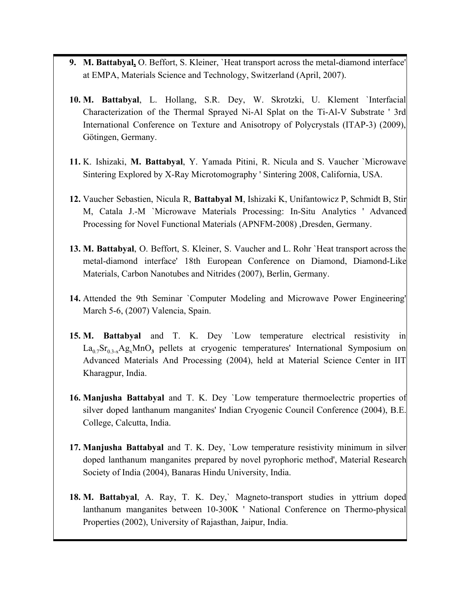- **9. M. Battabyal,** O. Beffort, S. Kleiner, `Heat transport across the metal-diamond interface' at EMPA, Materials Science and Technology, Switzerland (April, 2007).
- **10. M. Battabyal**, L. Hollang, S.R. Dey, W. Skrotzki, U. Klement `Interfacial Characterization of the Thermal Sprayed Ni-Al Splat on the Ti-Al-V Substrate ' 3rd International Conference on Texture and Anisotropy of Polycrystals (ITAP-3) (2009), Götingen, Germany.
- **11.** K. Ishizaki, **M. Battabyal**, Y. Yamada Pitini, R. Nicula and S. Vaucher `Microwave Sintering Explored by X-Ray Microtomography ' Sintering 2008, California, USA.
- **12.** Vaucher Sebastien, Nicula R, **Battabyal M**, Ishizaki K, Unifantowicz P, Schmidt B, Stir M, Catala J.-M `Microwave Materials Processing: In-Situ Analytics 'Advanced Processing for Novel Functional Materials (APNFM-2008) ,Dresden, Germany.
- **13. M. Battabyal**, O. Beffort, S. Kleiner, S. Vaucher and L. Rohr `Heat transport across the metal-diamond interface' 18th European Conference on Diamond, Diamond-Like Materials, Carbon Nanotubes and Nitrides (2007), Berlin, Germany.
- **14.** Attended the 9th Seminar `Computer Modeling and Microwave Power Engineering' March 5-6, (2007) Valencia, Spain.
- **15. M. Battabyal** and T. K. Dey `Low temperature electrical resistivity in  $La_{0.7}Sr_{0.3-x}Ag_xMnO_3$  pellets at cryogenic temperatures' International Symposium on Advanced Materials And Processing (2004), held at Material Science Center in IIT Kharagpur, India.
- **16. Manjusha Battabyal** and T. K. Dey `Low temperature thermoelectric properties of silver doped lanthanum manganites' Indian Cryogenic Council Conference (2004), B.E. College, Calcutta, India.
- **17. Manjusha Battabyal** and T. K. Dey, `Low temperature resistivity minimum in silver doped lanthanum manganites prepared by novel pyrophoric method', Material Research Society of India (2004), Banaras Hindu University, India.
- 18. M. Battabyal, A. Ray, T. K. Dey,` Magneto-transport studies in yttrium doped lanthanum manganites between 10-300K ' National Conference on Thermo-physical Properties (2002), University of Rajasthan, Jaipur, India.